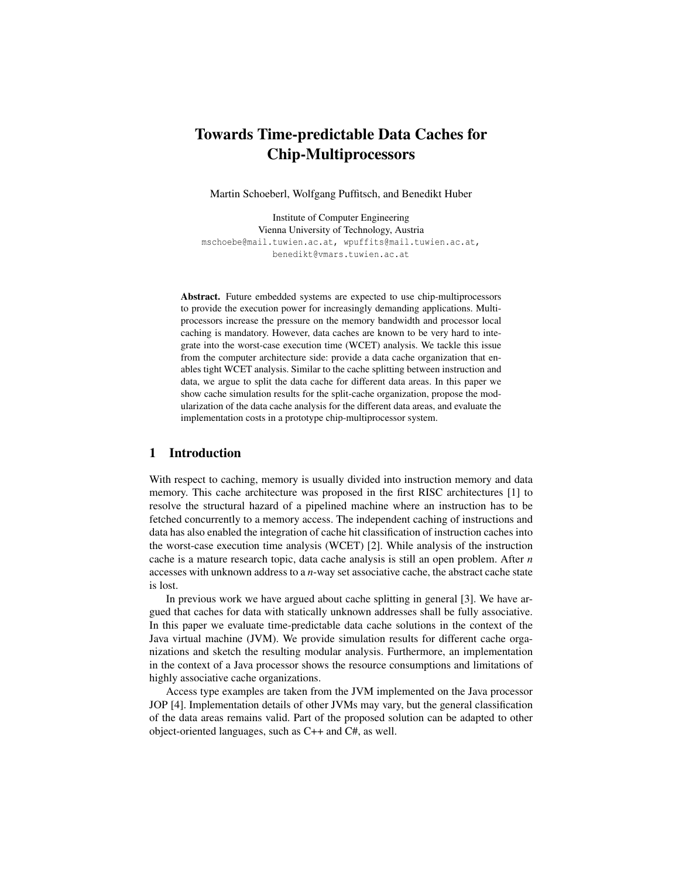# Towards Time-predictable Data Caches for Chip-Multiprocessors

Martin Schoeberl, Wolfgang Puffitsch, and Benedikt Huber

Institute of Computer Engineering Vienna University of Technology, Austria mschoebe@mail.tuwien.ac.at, wpuffits@mail.tuwien.ac.at, benedikt@vmars.tuwien.ac.at

Abstract. Future embedded systems are expected to use chip-multiprocessors to provide the execution power for increasingly demanding applications. Multiprocessors increase the pressure on the memory bandwidth and processor local caching is mandatory. However, data caches are known to be very hard to integrate into the worst-case execution time (WCET) analysis. We tackle this issue from the computer architecture side: provide a data cache organization that enables tight WCET analysis. Similar to the cache splitting between instruction and data, we argue to split the data cache for different data areas. In this paper we show cache simulation results for the split-cache organization, propose the modularization of the data cache analysis for the different data areas, and evaluate the implementation costs in a prototype chip-multiprocessor system.

# 1 Introduction

With respect to caching, memory is usually divided into instruction memory and data memory. This cache architecture was proposed in the first RISC architectures [1] to resolve the structural hazard of a pipelined machine where an instruction has to be fetched concurrently to a memory access. The independent caching of instructions and data has also enabled the integration of cache hit classification of instruction caches into the worst-case execution time analysis (WCET) [2]. While analysis of the instruction cache is a mature research topic, data cache analysis is still an open problem. After *n* accesses with unknown address to a *n*-way set associative cache, the abstract cache state is lost.

In previous work we have argued about cache splitting in general [3]. We have argued that caches for data with statically unknown addresses shall be fully associative. In this paper we evaluate time-predictable data cache solutions in the context of the Java virtual machine (JVM). We provide simulation results for different cache organizations and sketch the resulting modular analysis. Furthermore, an implementation in the context of a Java processor shows the resource consumptions and limitations of highly associative cache organizations.

Access type examples are taken from the JVM implemented on the Java processor JOP [4]. Implementation details of other JVMs may vary, but the general classification of the data areas remains valid. Part of the proposed solution can be adapted to other object-oriented languages, such as C++ and C#, as well.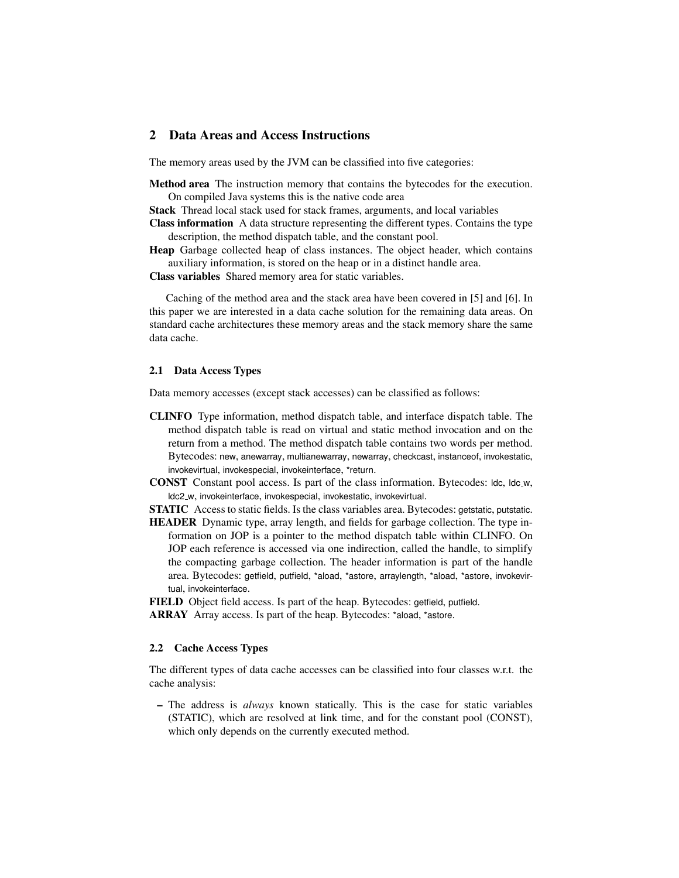# 2 Data Areas and Access Instructions

The memory areas used by the JVM can be classified into five categories:

Method area The instruction memory that contains the bytecodes for the execution. On compiled Java systems this is the native code area

Stack Thread local stack used for stack frames, arguments, and local variables

- Class information A data structure representing the different types. Contains the type description, the method dispatch table, and the constant pool.
- Heap Garbage collected heap of class instances. The object header, which contains auxiliary information, is stored on the heap or in a distinct handle area.

Class variables Shared memory area for static variables.

Caching of the method area and the stack area have been covered in [5] and [6]. In this paper we are interested in a data cache solution for the remaining data areas. On standard cache architectures these memory areas and the stack memory share the same data cache.

### 2.1 Data Access Types

Data memory accesses (except stack accesses) can be classified as follows:

- CLINFO Type information, method dispatch table, and interface dispatch table. The method dispatch table is read on virtual and static method invocation and on the return from a method. The method dispatch table contains two words per method. Bytecodes: new, anewarray, multianewarray, newarray, checkcast, instanceof, invokestatic, invokevirtual, invokespecial, invokeinterface, \*return.
- CONST Constant pool access. Is part of the class information. Bytecodes: ldc, ldc w, ldc2 w, invokeinterface, invokespecial, invokestatic, invokevirtual.

STATIC Access to static fields. Is the class variables area. Bytecodes: getstatic, putstatic.

HEADER Dynamic type, array length, and fields for garbage collection. The type information on JOP is a pointer to the method dispatch table within CLINFO. On JOP each reference is accessed via one indirection, called the handle, to simplify the compacting garbage collection. The header information is part of the handle area. Bytecodes: getfield, putfield, \*aload, \*astore, arraylength, \*aload, \*astore, invokevirtual, invokeinterface.

FIELD Object field access. Is part of the heap. Bytecodes: getfield, putfield.

ARRAY Array access. Is part of the heap. Bytecodes: \*aload, \*astore.

### 2.2 Cache Access Types

The different types of data cache accesses can be classified into four classes w.r.t. the cache analysis:

– The address is *always* known statically. This is the case for static variables (STATIC), which are resolved at link time, and for the constant pool (CONST), which only depends on the currently executed method.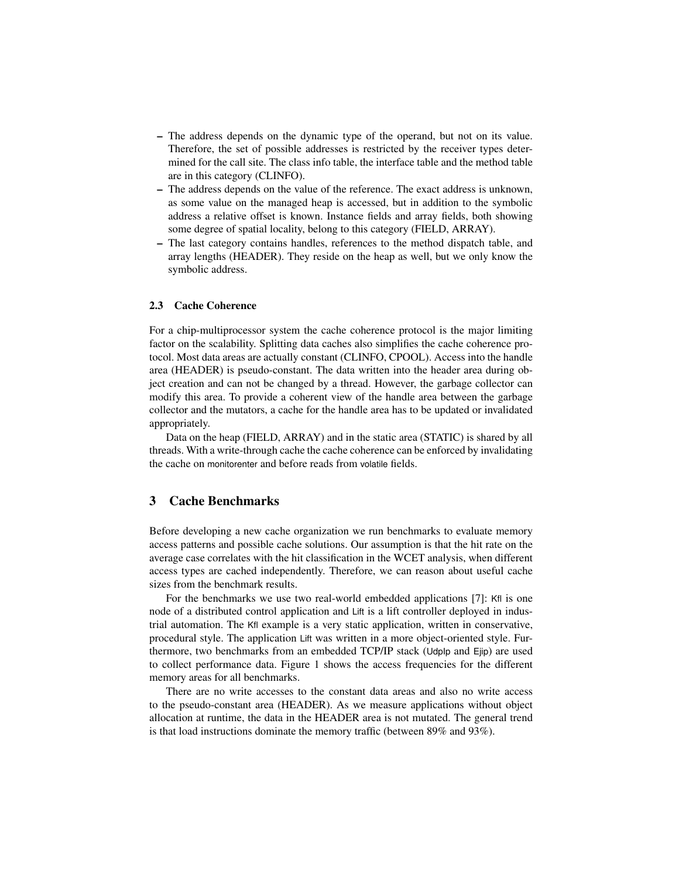- The address depends on the dynamic type of the operand, but not on its value. Therefore, the set of possible addresses is restricted by the receiver types determined for the call site. The class info table, the interface table and the method table are in this category (CLINFO).
- The address depends on the value of the reference. The exact address is unknown, as some value on the managed heap is accessed, but in addition to the symbolic address a relative offset is known. Instance fields and array fields, both showing some degree of spatial locality, belong to this category (FIELD, ARRAY).
- The last category contains handles, references to the method dispatch table, and array lengths (HEADER). They reside on the heap as well, but we only know the symbolic address.

### 2.3 Cache Coherence

For a chip-multiprocessor system the cache coherence protocol is the major limiting factor on the scalability. Splitting data caches also simplifies the cache coherence protocol. Most data areas are actually constant (CLINFO, CPOOL). Access into the handle area (HEADER) is pseudo-constant. The data written into the header area during object creation and can not be changed by a thread. However, the garbage collector can modify this area. To provide a coherent view of the handle area between the garbage collector and the mutators, a cache for the handle area has to be updated or invalidated appropriately.

Data on the heap (FIELD, ARRAY) and in the static area (STATIC) is shared by all threads. With a write-through cache the cache coherence can be enforced by invalidating the cache on monitorenter and before reads from volatile fields.

# 3 Cache Benchmarks

Before developing a new cache organization we run benchmarks to evaluate memory access patterns and possible cache solutions. Our assumption is that the hit rate on the average case correlates with the hit classification in the WCET analysis, when different access types are cached independently. Therefore, we can reason about useful cache sizes from the benchmark results.

For the benchmarks we use two real-world embedded applications [7]: Kfl is one node of a distributed control application and Lift is a lift controller deployed in industrial automation. The Kfl example is a very static application, written in conservative, procedural style. The application Lift was written in a more object-oriented style. Furthermore, two benchmarks from an embedded TCP/IP stack (UdpIp and Ejip) are used to collect performance data. Figure 1 shows the access frequencies for the different memory areas for all benchmarks.

There are no write accesses to the constant data areas and also no write access to the pseudo-constant area (HEADER). As we measure applications without object allocation at runtime, the data in the HEADER area is not mutated. The general trend is that load instructions dominate the memory traffic (between 89% and 93%).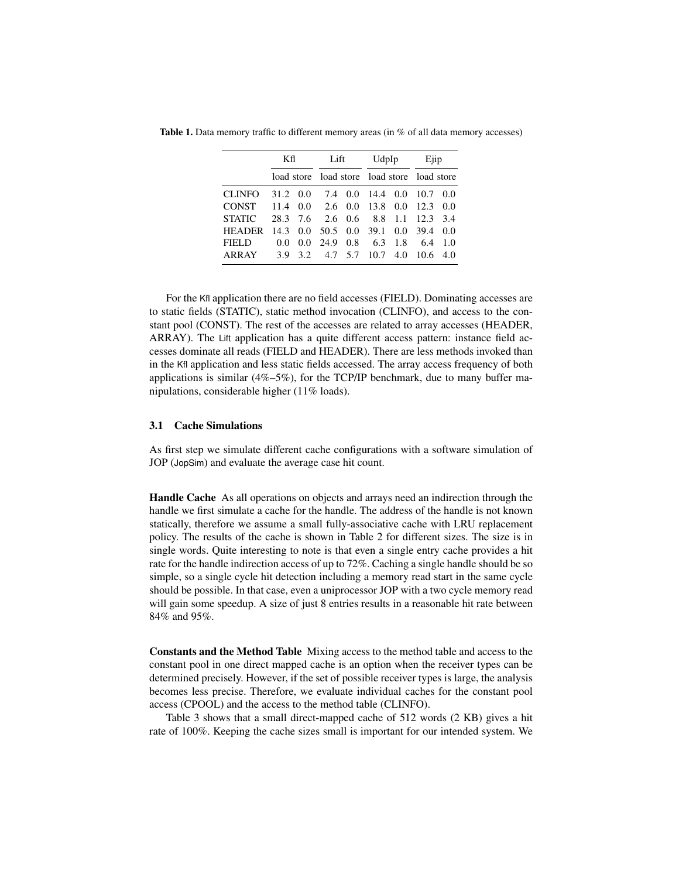|                                      | Kfl |         | Lift<br>load store load store load store load store |  | UdpIp            |  | Ejip |     |
|--------------------------------------|-----|---------|-----------------------------------------------------|--|------------------|--|------|-----|
|                                      |     |         |                                                     |  |                  |  |      |     |
| <b>CLINFO</b>                        |     |         | 31.2 0.0 7.4 0.0 14.4 0.0                           |  |                  |  | 10.7 | 0.0 |
| CONST 11.4 0.0 2.6 0.0 13.8 0.0 12.3 |     |         |                                                     |  |                  |  |      | 0.0 |
| <b>STATIC</b>                        |     |         | 28.3 7.6 2.6 0.6 8.8 1.1 12.3 3.4                   |  |                  |  |      |     |
| <b>HEADER</b>                        |     |         | 14.3 0.0 50.5 0.0 39.1 0.0 39.4                     |  |                  |  |      | 0.0 |
| <b>FIELD</b>                         | 0.0 | $0.0^-$ |                                                     |  | 24.9 0.8 6.3 1.8 |  | 6.4  | 1.0 |
| ARRAY                                |     |         | 3.9 3.2 4.7 5.7 10.7 4.0                            |  |                  |  | 10.6 | 4.0 |

Table 1. Data memory traffic to different memory areas (in % of all data memory accesses)

For the Kfl application there are no field accesses (FIELD). Dominating accesses are to static fields (STATIC), static method invocation (CLINFO), and access to the constant pool (CONST). The rest of the accesses are related to array accesses (HEADER, ARRAY). The Lift application has a quite different access pattern: instance field accesses dominate all reads (FIELD and HEADER). There are less methods invoked than in the Kfl application and less static fields accessed. The array access frequency of both applications is similar (4%–5%), for the TCP/IP benchmark, due to many buffer manipulations, considerable higher (11% loads).

#### 3.1 Cache Simulations

As first step we simulate different cache configurations with a software simulation of JOP (JopSim) and evaluate the average case hit count.

Handle Cache As all operations on objects and arrays need an indirection through the handle we first simulate a cache for the handle. The address of the handle is not known statically, therefore we assume a small fully-associative cache with LRU replacement policy. The results of the cache is shown in Table 2 for different sizes. The size is in single words. Quite interesting to note is that even a single entry cache provides a hit rate for the handle indirection access of up to 72%. Caching a single handle should be so simple, so a single cycle hit detection including a memory read start in the same cycle should be possible. In that case, even a uniprocessor JOP with a two cycle memory read will gain some speedup. A size of just 8 entries results in a reasonable hit rate between 84% and 95%.

Constants and the Method Table Mixing access to the method table and access to the constant pool in one direct mapped cache is an option when the receiver types can be determined precisely. However, if the set of possible receiver types is large, the analysis becomes less precise. Therefore, we evaluate individual caches for the constant pool access (CPOOL) and the access to the method table (CLINFO).

Table 3 shows that a small direct-mapped cache of 512 words (2 KB) gives a hit rate of 100%. Keeping the cache sizes small is important for our intended system. We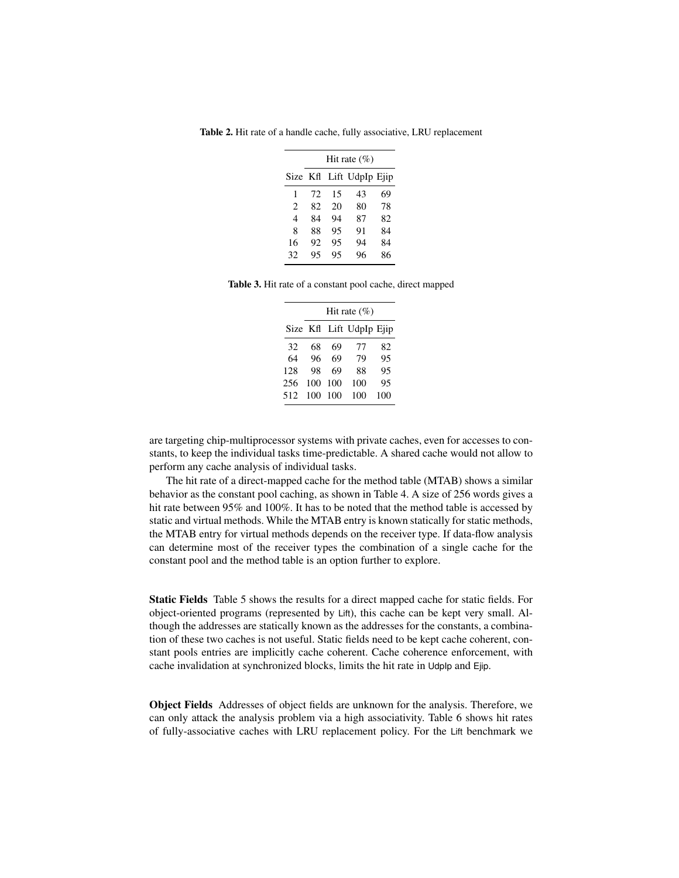| Hit rate $(\% )$ |    |    |                          |    |  |  |  |  |
|------------------|----|----|--------------------------|----|--|--|--|--|
|                  |    |    | Size Kfl Lift UdpIp Ejip |    |  |  |  |  |
| 1                | 72 | 15 | 43                       | 69 |  |  |  |  |
| 2                | 82 | 20 | 80                       | 78 |  |  |  |  |
| 4                | 84 | 94 | 87                       | 82 |  |  |  |  |
| 8                | 88 | 95 | 91                       | 84 |  |  |  |  |
| 16               | 92 | 95 | 94                       | 84 |  |  |  |  |
| 32               | 95 | 95 | 96                       | 86 |  |  |  |  |

Table 2. Hit rate of a handle cache, fully associative, LRU replacement

Table 3. Hit rate of a constant pool cache, direct mapped

|     | Hit rate $(\% )$ |     |                          |     |  |  |  |  |  |
|-----|------------------|-----|--------------------------|-----|--|--|--|--|--|
|     |                  |     | Size Kfl Lift UdpIp Ejip |     |  |  |  |  |  |
| 32  | 68               | 69  | 77                       | 82  |  |  |  |  |  |
| 64  | 96               | 69  | 79                       | 95  |  |  |  |  |  |
| 128 | 98               | 69  | 88                       | 95  |  |  |  |  |  |
| 256 | 100              | 100 | 100                      | 95  |  |  |  |  |  |
| 512 | 100              | 100 | 100                      | 100 |  |  |  |  |  |

are targeting chip-multiprocessor systems with private caches, even for accesses to constants, to keep the individual tasks time-predictable. A shared cache would not allow to perform any cache analysis of individual tasks.

The hit rate of a direct-mapped cache for the method table (MTAB) shows a similar behavior as the constant pool caching, as shown in Table 4. A size of 256 words gives a hit rate between 95% and 100%. It has to be noted that the method table is accessed by static and virtual methods. While the MTAB entry is known statically for static methods, the MTAB entry for virtual methods depends on the receiver type. If data-flow analysis can determine most of the receiver types the combination of a single cache for the constant pool and the method table is an option further to explore.

Static Fields Table 5 shows the results for a direct mapped cache for static fields. For object-oriented programs (represented by Lift), this cache can be kept very small. Although the addresses are statically known as the addresses for the constants, a combination of these two caches is not useful. Static fields need to be kept cache coherent, constant pools entries are implicitly cache coherent. Cache coherence enforcement, with cache invalidation at synchronized blocks, limits the hit rate in Udplp and Ejip.

Object Fields Addresses of object fields are unknown for the analysis. Therefore, we can only attack the analysis problem via a high associativity. Table 6 shows hit rates of fully-associative caches with LRU replacement policy. For the Lift benchmark we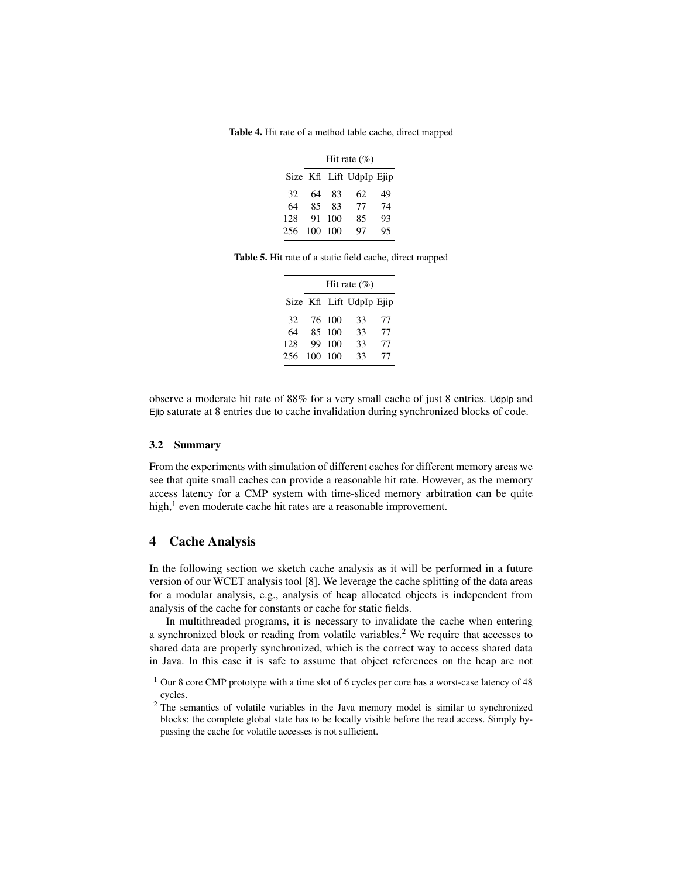Table 4. Hit rate of a method table cache, direct mapped

| Hit rate $(\% )$ |                          |     |    |    |  |  |  |  |
|------------------|--------------------------|-----|----|----|--|--|--|--|
|                  | Size Kfl Lift UdpIp Ejip |     |    |    |  |  |  |  |
| 32               | 64                       | 83  | 62 | 49 |  |  |  |  |
| 64               | 85                       | 83  | 77 | 74 |  |  |  |  |
| 128              | 91                       | 100 | 85 | 93 |  |  |  |  |
| 256              | 100                      | 100 | 97 | 95 |  |  |  |  |

Table 5. Hit rate of a static field cache, direct mapped

| Hit rate $(\% )$ |     |        |                          |    |  |  |  |  |
|------------------|-----|--------|--------------------------|----|--|--|--|--|
|                  |     |        | Size Kfl Lift UdpIp Ejip |    |  |  |  |  |
| 32               |     | 76 100 | 33                       | 77 |  |  |  |  |
| 64               |     | 85 100 | 33                       | 77 |  |  |  |  |
| 128              | 99  | -100   | 33                       | 77 |  |  |  |  |
| 256              | 100 | - 100  | 33                       | 77 |  |  |  |  |

observe a moderate hit rate of 88% for a very small cache of just 8 entries. UdpIp and Ejip saturate at 8 entries due to cache invalidation during synchronized blocks of code.

#### 3.2 Summary

From the experiments with simulation of different caches for different memory areas we see that quite small caches can provide a reasonable hit rate. However, as the memory access latency for a CMP system with time-sliced memory arbitration can be quite high,<sup>1</sup> even moderate cache hit rates are a reasonable improvement.

# 4 Cache Analysis

In the following section we sketch cache analysis as it will be performed in a future version of our WCET analysis tool [8]. We leverage the cache splitting of the data areas for a modular analysis, e.g., analysis of heap allocated objects is independent from analysis of the cache for constants or cache for static fields.

In multithreaded programs, it is necessary to invalidate the cache when entering a synchronized block or reading from volatile variables.<sup>2</sup> We require that accesses to shared data are properly synchronized, which is the correct way to access shared data in Java. In this case it is safe to assume that object references on the heap are not

<sup>1</sup> Our 8 core CMP prototype with a time slot of 6 cycles per core has a worst-case latency of 48 cycles.

<sup>&</sup>lt;sup>2</sup> The semantics of volatile variables in the Java memory model is similar to synchronized blocks: the complete global state has to be locally visible before the read access. Simply bypassing the cache for volatile accesses is not sufficient.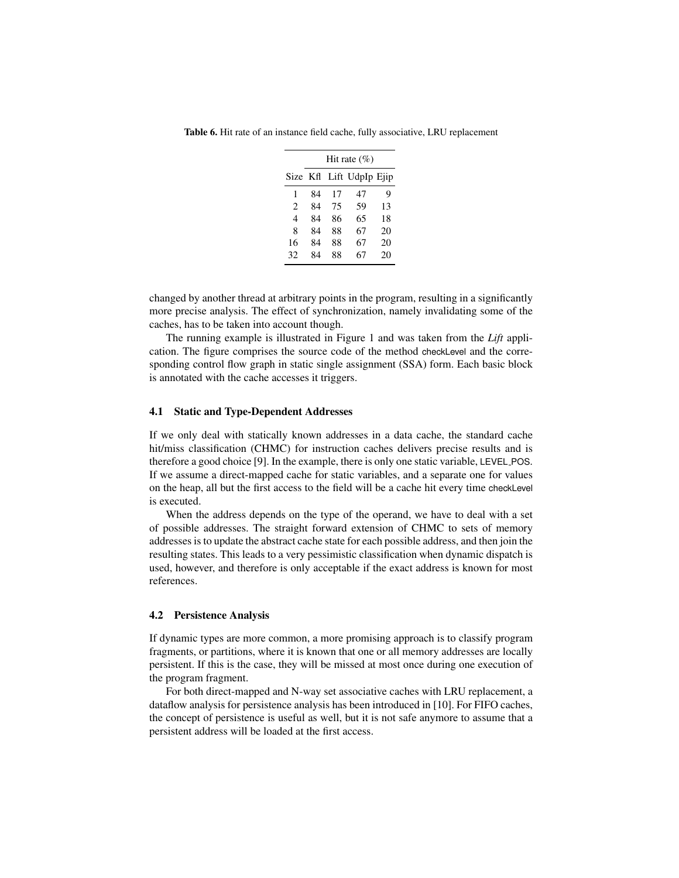| Hit rate $(\% )$ |    |    |                          |    |  |  |  |  |  |
|------------------|----|----|--------------------------|----|--|--|--|--|--|
|                  |    |    | Size Kfl Lift UdpIp Ejip |    |  |  |  |  |  |
| 1                | 84 | 17 | 47                       | 9  |  |  |  |  |  |
| $\mathfrak{D}$   | 84 | 75 | 59                       | 13 |  |  |  |  |  |
| 4                | 84 | 86 | 65                       | 18 |  |  |  |  |  |
| 8                | 84 | 88 | 67                       | 20 |  |  |  |  |  |
| 16               | 84 | 88 | 67                       | 20 |  |  |  |  |  |
| 32               | 84 | 88 | 67                       | 20 |  |  |  |  |  |

Table 6. Hit rate of an instance field cache, fully associative, LRU replacement

changed by another thread at arbitrary points in the program, resulting in a significantly more precise analysis. The effect of synchronization, namely invalidating some of the caches, has to be taken into account though.

The running example is illustrated in Figure 1 and was taken from the *Lift* application. The figure comprises the source code of the method checkLevel and the corresponding control flow graph in static single assignment (SSA) form. Each basic block is annotated with the cache accesses it triggers.

#### 4.1 Static and Type-Dependent Addresses

If we only deal with statically known addresses in a data cache, the standard cache hit/miss classification (CHMC) for instruction caches delivers precise results and is therefore a good choice [9]. In the example, there is only one static variable, LEVEL POS. If we assume a direct-mapped cache for static variables, and a separate one for values on the heap, all but the first access to the field will be a cache hit every time checkLevel is executed.

When the address depends on the type of the operand, we have to deal with a set of possible addresses. The straight forward extension of CHMC to sets of memory addresses is to update the abstract cache state for each possible address, and then join the resulting states. This leads to a very pessimistic classification when dynamic dispatch is used, however, and therefore is only acceptable if the exact address is known for most references.

#### 4.2 Persistence Analysis

If dynamic types are more common, a more promising approach is to classify program fragments, or partitions, where it is known that one or all memory addresses are locally persistent. If this is the case, they will be missed at most once during one execution of the program fragment.

For both direct-mapped and N-way set associative caches with LRU replacement, a dataflow analysis for persistence analysis has been introduced in [10]. For FIFO caches, the concept of persistence is useful as well, but it is not safe anymore to assume that a persistent address will be loaded at the first access.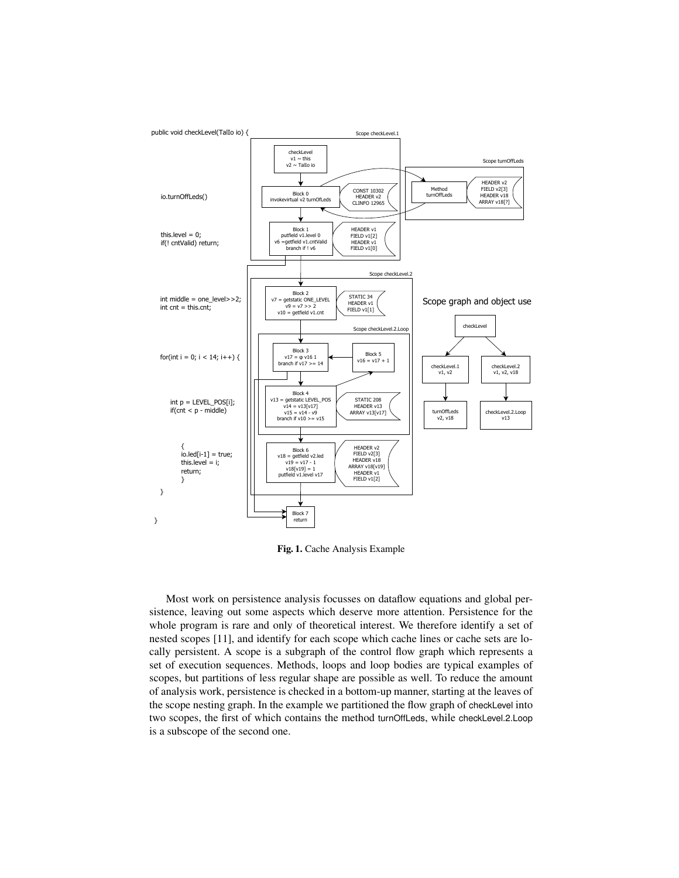

Fig. 1. Cache Analysis Example

Most work on persistence analysis focusses on dataflow equations and global persistence, leaving out some aspects which deserve more attention. Persistence for the whole program is rare and only of theoretical interest. We therefore identify a set of nested scopes [11], and identify for each scope which cache lines or cache sets are locally persistent. A scope is a subgraph of the control flow graph which represents a set of execution sequences. Methods, loops and loop bodies are typical examples of scopes, but partitions of less regular shape are possible as well. To reduce the amount of analysis work, persistence is checked in a bottom-up manner, starting at the leaves of the scope nesting graph. In the example we partitioned the flow graph of checkLevel into two scopes, the first of which contains the method turnOffLeds, while checkLevel.2.Loop is a subscope of the second one.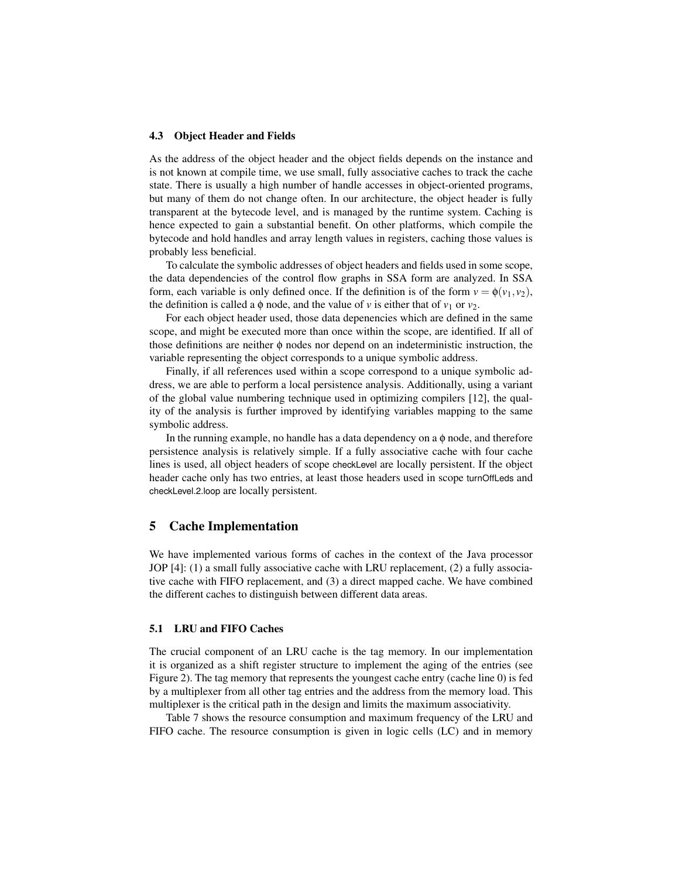#### 4.3 Object Header and Fields

As the address of the object header and the object fields depends on the instance and is not known at compile time, we use small, fully associative caches to track the cache state. There is usually a high number of handle accesses in object-oriented programs, but many of them do not change often. In our architecture, the object header is fully transparent at the bytecode level, and is managed by the runtime system. Caching is hence expected to gain a substantial benefit. On other platforms, which compile the bytecode and hold handles and array length values in registers, caching those values is probably less beneficial.

To calculate the symbolic addresses of object headers and fields used in some scope, the data dependencies of the control flow graphs in SSA form are analyzed. In SSA form, each variable is only defined once. If the definition is of the form  $v = \phi(v_1, v_2)$ , the definition is called a  $\phi$  node, and the value of *v* is either that of  $v_1$  or  $v_2$ .

For each object header used, those data depenencies which are defined in the same scope, and might be executed more than once within the scope, are identified. If all of those definitions are neither  $\phi$  nodes nor depend on an indeterministic instruction, the variable representing the object corresponds to a unique symbolic address.

Finally, if all references used within a scope correspond to a unique symbolic address, we are able to perform a local persistence analysis. Additionally, using a variant of the global value numbering technique used in optimizing compilers [12], the quality of the analysis is further improved by identifying variables mapping to the same symbolic address.

In the running example, no handle has a data dependency on a  $\phi$  node, and therefore persistence analysis is relatively simple. If a fully associative cache with four cache lines is used, all object headers of scope checkLevel are locally persistent. If the object header cache only has two entries, at least those headers used in scope turnOffLeds and checkLevel.2.loop are locally persistent.

# 5 Cache Implementation

We have implemented various forms of caches in the context of the Java processor JOP [4]: (1) a small fully associative cache with LRU replacement, (2) a fully associative cache with FIFO replacement, and (3) a direct mapped cache. We have combined the different caches to distinguish between different data areas.

#### 5.1 LRU and FIFO Caches

The crucial component of an LRU cache is the tag memory. In our implementation it is organized as a shift register structure to implement the aging of the entries (see Figure 2). The tag memory that represents the youngest cache entry (cache line 0) is fed by a multiplexer from all other tag entries and the address from the memory load. This multiplexer is the critical path in the design and limits the maximum associativity.

Table 7 shows the resource consumption and maximum frequency of the LRU and FIFO cache. The resource consumption is given in logic cells (LC) and in memory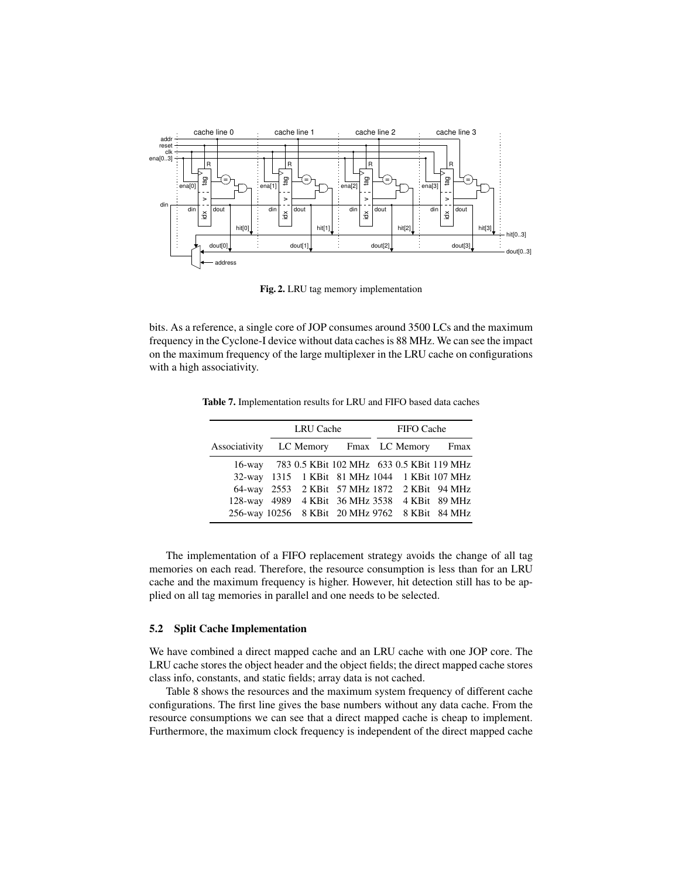

Fig. 2. LRU tag memory implementation

bits. As a reference, a single core of JOP consumes around 3500 LCs and the maximum frequency in the Cyclone-I device without data caches is 88 MHz. We can see the impact on the maximum frequency of the large multiplexer in the LRU cache on configurations with a high associativity.

Table 7. Implementation results for LRU and FIFO based data caches

|                                             | <b>LRU</b> Cache |                                                  | FIFO Cache |  |  |  |
|---------------------------------------------|------------------|--------------------------------------------------|------------|--|--|--|
| Associativity LC Memory Fmax LC Memory Fmax |                  |                                                  |            |  |  |  |
|                                             |                  | 16-way 783 0.5 KBit 102 MHz 633 0.5 KBit 119 MHz |            |  |  |  |
|                                             |                  | 32-way 1315 1 KBit 81 MHz 1044 1 KBit 107 MHz    |            |  |  |  |
|                                             |                  | 64-way 2553 2 KBit 57 MHz 1872 2 KBit 94 MHz     |            |  |  |  |
|                                             |                  | 128-way 4989 4 KBit 36 MHz 3538 4 KBit 89 MHz    |            |  |  |  |
|                                             |                  | 256-way 10256 8 KBit 20 MHz 9762 8 KBit 84 MHz   |            |  |  |  |

The implementation of a FIFO replacement strategy avoids the change of all tag memories on each read. Therefore, the resource consumption is less than for an LRU cache and the maximum frequency is higher. However, hit detection still has to be applied on all tag memories in parallel and one needs to be selected.

#### 5.2 Split Cache Implementation

We have combined a direct mapped cache and an LRU cache with one JOP core. The LRU cache stores the object header and the object fields; the direct mapped cache stores class info, constants, and static fields; array data is not cached.

Table 8 shows the resources and the maximum system frequency of different cache configurations. The first line gives the base numbers without any data cache. From the resource consumptions we can see that a direct mapped cache is cheap to implement. Furthermore, the maximum clock frequency is independent of the direct mapped cache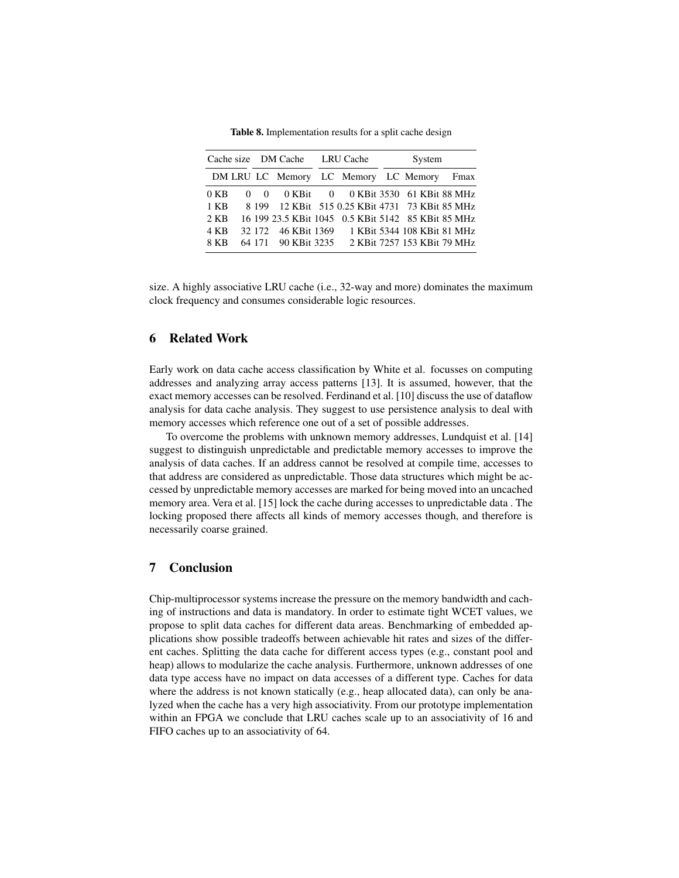Table 8. Implementation results for a split cache design

|        | Cache size DM Cache LRU Cache |  |                                                    |  | System |  |  |
|--------|-------------------------------|--|----------------------------------------------------|--|--------|--|--|
|        |                               |  | DM LRU LC Memory LC Memory LC Memory Fmax          |  |        |  |  |
| $0$ KB |                               |  | 0 0 0 KBit 0 0 KBit 3530 61 KBit 88 MHz            |  |        |  |  |
| $1$ KB |                               |  | 8 199 12 KBit 515 0.25 KBit 4731 73 KBit 85 MHz    |  |        |  |  |
| 2 KB   |                               |  | 16 199 23.5 KBit 1045 0.5 KBit 5142 85 KBit 85 MHz |  |        |  |  |
| 4 KB   |                               |  | 32 172 46 KBit 1369 1 KBit 5344 108 KBit 81 MHz    |  |        |  |  |
| 8 KB   |                               |  | 64 171 90 KBit 3235 2 KBit 7257 153 KBit 79 MHz    |  |        |  |  |

size. A highly associative LRU cache (i.e., 32-way and more) dominates the maximum clock frequency and consumes considerable logic resources.

# 6 Related Work

Early work on data cache access classification by White et al. focusses on computing addresses and analyzing array access patterns [13]. It is assumed, however, that the exact memory accesses can be resolved. Ferdinand et al. [10] discuss the use of dataflow analysis for data cache analysis. They suggest to use persistence analysis to deal with memory accesses which reference one out of a set of possible addresses.

To overcome the problems with unknown memory addresses, Lundquist et al. [14] suggest to distinguish unpredictable and predictable memory accesses to improve the analysis of data caches. If an address cannot be resolved at compile time, accesses to that address are considered as unpredictable. Those data structures which might be accessed by unpredictable memory accesses are marked for being moved into an uncached memory area. Vera et al. [15] lock the cache during accesses to unpredictable data . The locking proposed there affects all kinds of memory accesses though, and therefore is necessarily coarse grained.

# 7 Conclusion

Chip-multiprocessor systems increase the pressure on the memory bandwidth and caching of instructions and data is mandatory. In order to estimate tight WCET values, we propose to split data caches for different data areas. Benchmarking of embedded applications show possible tradeoffs between achievable hit rates and sizes of the different caches. Splitting the data cache for different access types (e.g., constant pool and heap) allows to modularize the cache analysis. Furthermore, unknown addresses of one data type access have no impact on data accesses of a different type. Caches for data where the address is not known statically (e.g., heap allocated data), can only be analyzed when the cache has a very high associativity. From our prototype implementation within an FPGA we conclude that LRU caches scale up to an associativity of 16 and FIFO caches up to an associativity of 64.